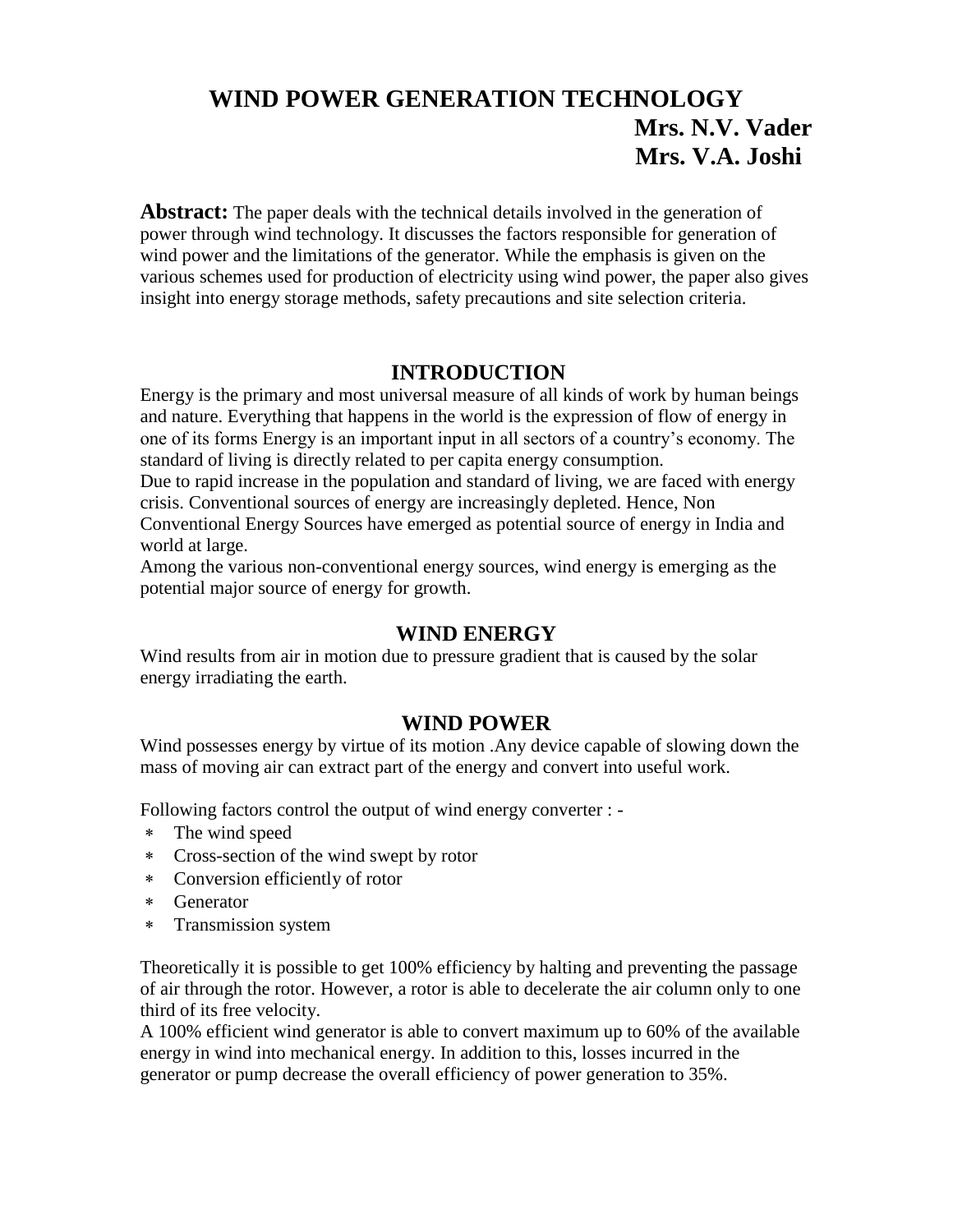# **WIND POWER GENERATION TECHNOLOGY Mrs. N.V. Vader Mrs. V.A. Joshi**

**Abstract:** The paper deals with the technical details involved in the generation of power through wind technology. It discusses the factors responsible for generation of wind power and the limitations of the generator. While the emphasis is given on the various schemes used for production of electricity using wind power, the paper also gives insight into energy storage methods, safety precautions and site selection criteria.

### **INTRODUCTION**

Energy is the primary and most universal measure of all kinds of work by human beings and nature. Everything that happens in the world is the expression of flow of energy in one of its forms Energy is an important input in all sectors of a country's economy. The standard of living is directly related to per capita energy consumption.

Due to rapid increase in the population and standard of living, we are faced with energy crisis. Conventional sources of energy are increasingly depleted. Hence, Non

Conventional Energy Sources have emerged as potential source of energy in India and world at large.

Among the various non-conventional energy sources, wind energy is emerging as the potential major source of energy for growth.

### **WIND ENERGY**

Wind results from air in motion due to pressure gradient that is caused by the solar energy irradiating the earth.

### **WIND POWER**

Wind possesses energy by virtue of its motion .Any device capable of slowing down the mass of moving air can extract part of the energy and convert into useful work.

Following factors control the output of wind energy converter : -

- The wind speed
- Cross-section of the wind swept by rotor
- Conversion efficiently of rotor
- Generator
- Transmission system

Theoretically it is possible to get 100% efficiency by halting and preventing the passage of air through the rotor. However, a rotor is able to decelerate the air column only to one third of its free velocity.

A 100% efficient wind generator is able to convert maximum up to 60% of the available energy in wind into mechanical energy. In addition to this, losses incurred in the generator or pump decrease the overall efficiency of power generation to 35%.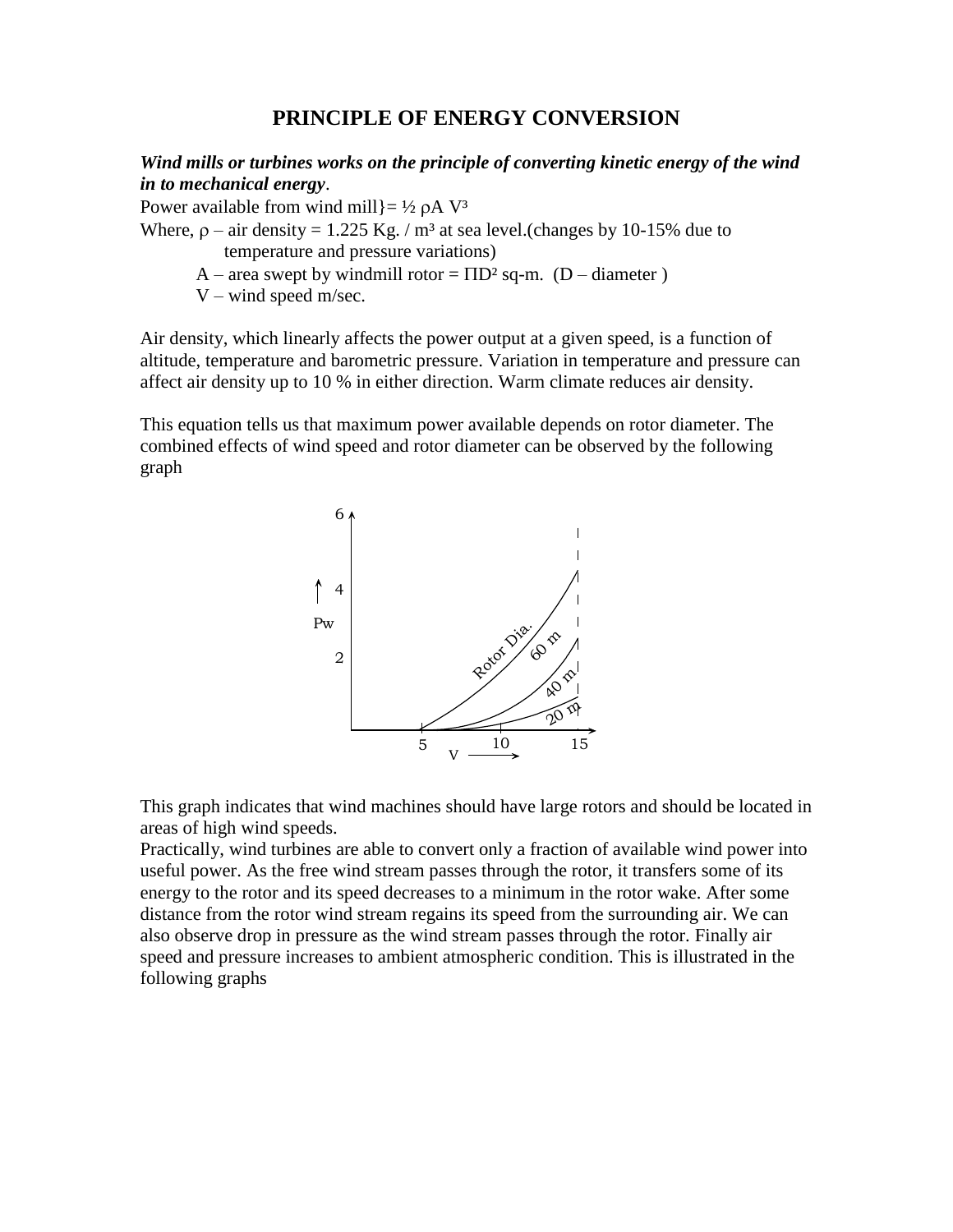### **PRINCIPLE OF ENERGY CONVERSION**

*Wind mills or turbines works on the principle of converting kinetic energy of the wind in to mechanical energy*.

Power available from wind mill  $= \frac{1}{2} \rho A V^3$ 

Where,  $\rho$  – air density = 1.225 Kg. / m<sup>3</sup> at sea level.(changes by 10-15% due to temperature and pressure variations)

A – area swept by windmill rotor =  $\Pi D^2$  sq-m. (D – diameter)

 $V$  – wind speed m/sec.

Air density, which linearly affects the power output at a given speed, is a function of altitude, temperature and barometric pressure. Variation in temperature and pressure can affect air density up to 10 % in either direction. Warm climate reduces air density.

This equation tells us that maximum power available depends on rotor diameter. The combined effects of wind speed and rotor diameter can be observed by the following graph



This graph indicates that wind machines should have large rotors and should be located in areas of high wind speeds.

Practically, wind turbines are able to convert only a fraction of available wind power into useful power. As the free wind stream passes through the rotor, it transfers some of its energy to the rotor and its speed decreases to a minimum in the rotor wake. After some distance from the rotor wind stream regains its speed from the surrounding air. We can also observe drop in pressure as the wind stream passes through the rotor. Finally air speed and pressure increases to ambient atmospheric condition. This is illustrated in the following graphs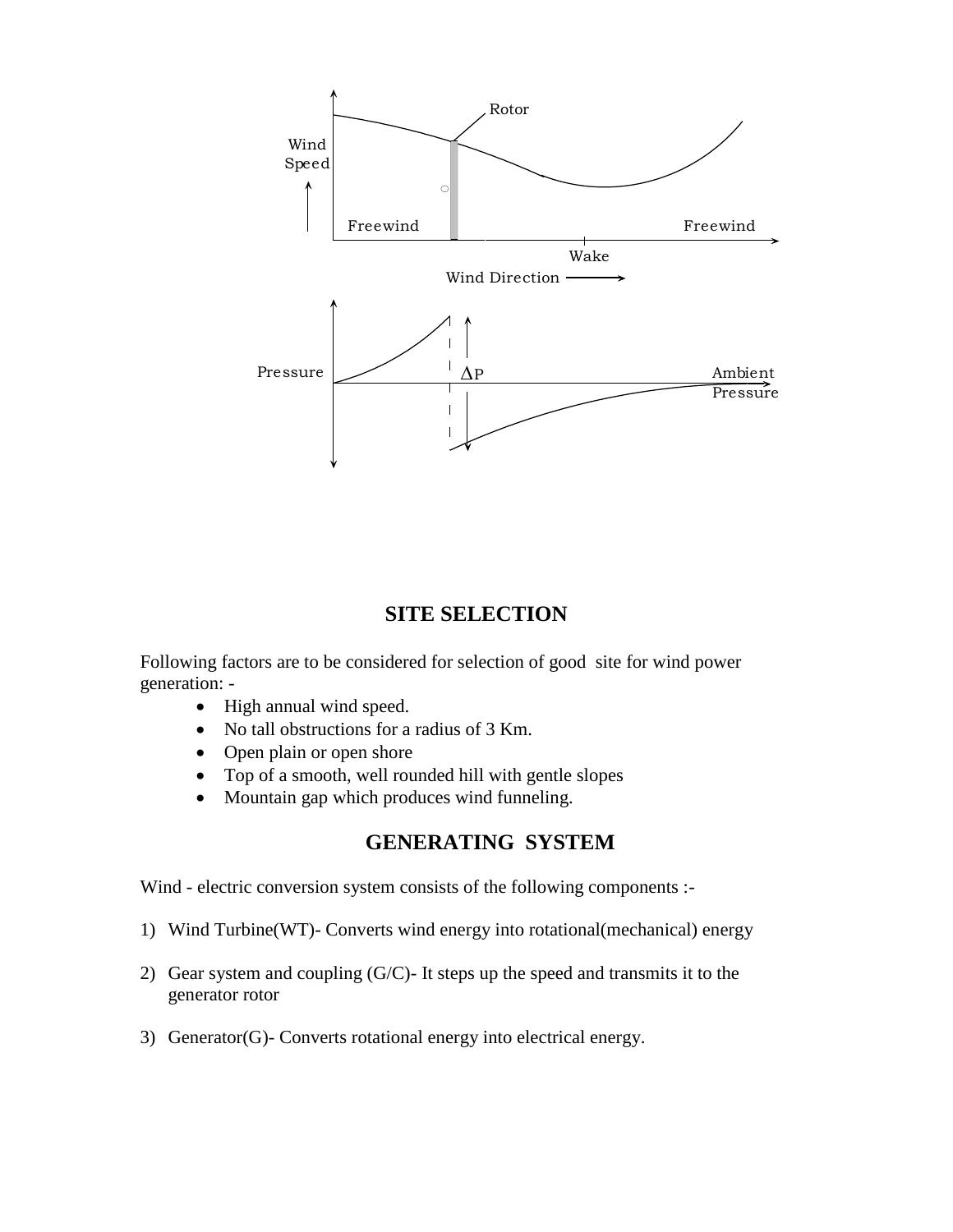

## **SITE SELECTION**

Following factors are to be considered for selection of good site for wind power generation: -

- High annual wind speed.
- No tall obstructions for a radius of 3 Km.
- Open plain or open shore
- Top of a smooth, well rounded hill with gentle slopes
- Mountain gap which produces wind funneling.

### **GENERATING SYSTEM**

Wind - electric conversion system consists of the following components :-

- 1) Wind Turbine(WT)- Converts wind energy into rotational(mechanical) energy
- 2) Gear system and coupling (G/C)- It steps up the speed and transmits it to the generator rotor
- 3) Generator(G)- Converts rotational energy into electrical energy.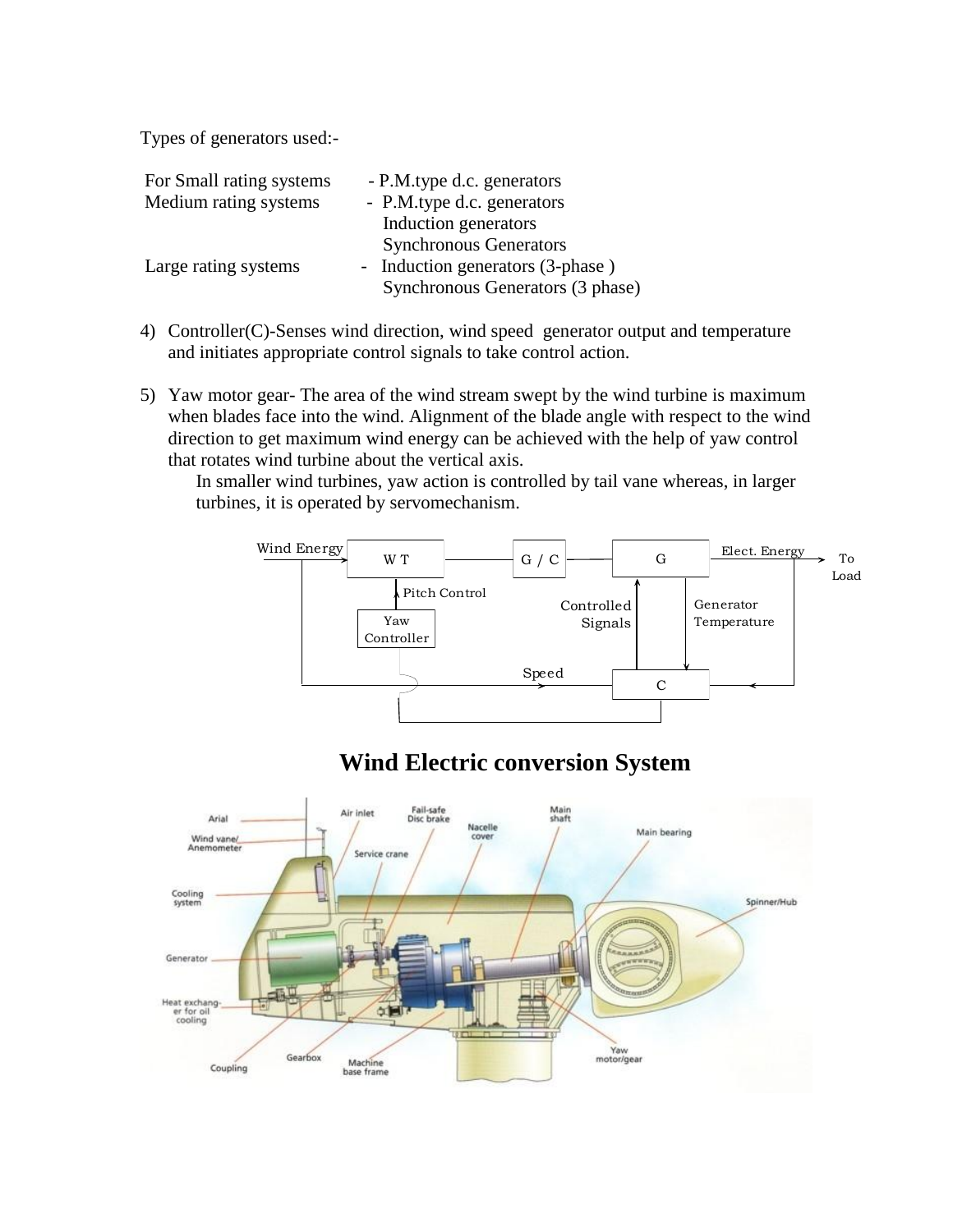Types of generators used:-

| For Small rating systems | - P.M.type d.c. generators       |  |
|--------------------------|----------------------------------|--|
| Medium rating systems    | - P.M.type d.c. generators       |  |
|                          | Induction generators             |  |
|                          | <b>Synchronous Generators</b>    |  |
| Large rating systems     | - Induction generators (3-phase) |  |
|                          | Synchronous Generators (3 phase) |  |

- 4) Controller(C)-Senses wind direction, wind speed generator output and temperature and initiates appropriate control signals to take control action.
- 5) Yaw motor gear- The area of the wind stream swept by the wind turbine is maximum when blades face into the wind. Alignment of the blade angle with respect to the wind direction to get maximum wind energy can be achieved with the help of yaw control that rotates wind turbine about the vertical axis.

In smaller wind turbines, yaw action is controlled by tail vane whereas, in larger turbines, it is operated by servomechanism.





# **Wind Electric conversion System**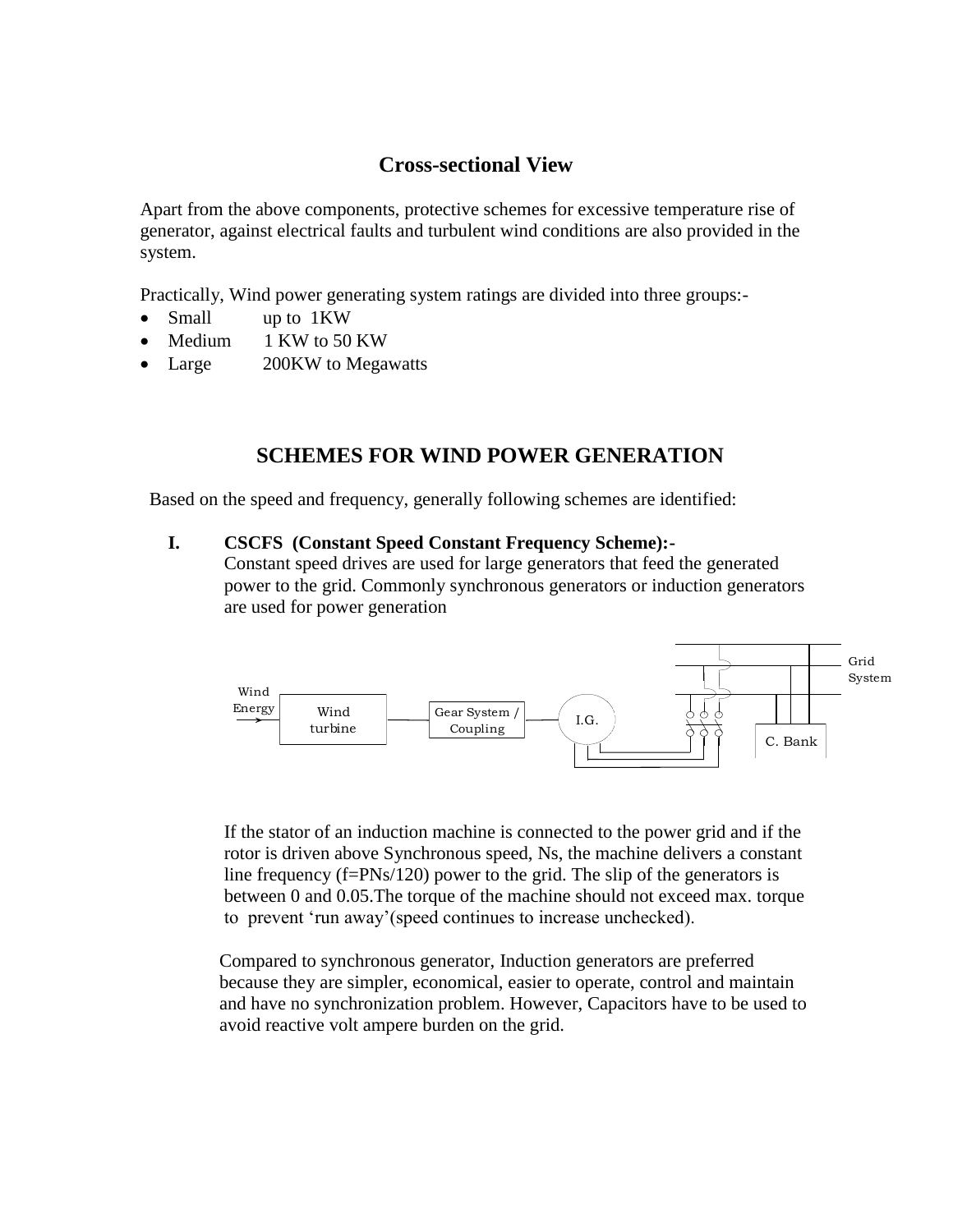## **Cross-sectional View**

Apart from the above components, protective schemes for excessive temperature rise of generator, against electrical faults and turbulent wind conditions are also provided in the system.

Practically, Wind power generating system ratings are divided into three groups:-

- Small up to 1KW
- Medium 1 KW to 50 KW
- Large 200KW to Megawatts

## **SCHEMES FOR WIND POWER GENERATION**

Based on the speed and frequency, generally following schemes are identified:

#### **I. CSCFS (Constant Speed Constant Frequency Scheme):-**

Constant speed drives are used for large generators that feed the generated power to the grid. Commonly synchronous generators or induction generators are used for power generation



If the stator of an induction machine is connected to the power grid and if the rotor is driven above Synchronous speed, Ns, the machine delivers a constant line frequency (f=PNs/120) power to the grid. The slip of the generators is between 0 and 0.05.The torque of the machine should not exceed max. torque to prevent 'run away'(speed continues to increase unchecked).

 Compared to synchronous generator, Induction generators are preferred because they are simpler, economical, easier to operate, control and maintain and have no synchronization problem. However, Capacitors have to be used to avoid reactive volt ampere burden on the grid.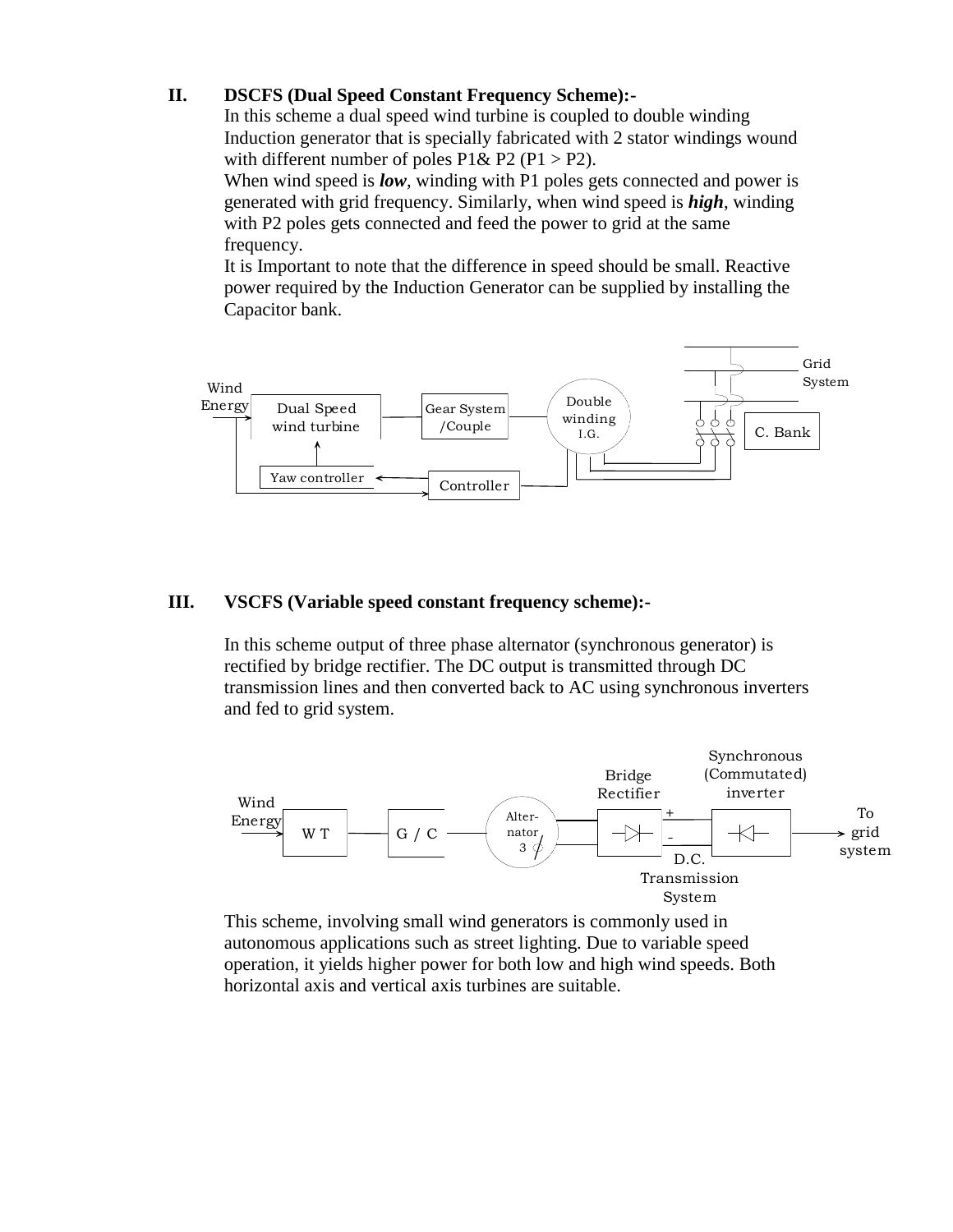#### **II. DSCFS (Dual Speed Constant Frequency Scheme):-**

In this scheme a dual speed wind turbine is coupled to double winding Induction generator that is specially fabricated with 2 stator windings wound with different number of poles  $P1& P2$  ( $P1>P2$ ).

When wind speed is *low*, winding with P1 poles gets connected and power is generated with grid frequency. Similarly, when wind speed is *high*, winding with P2 poles gets connected and feed the power to grid at the same frequency.

It is Important to note that the difference in speed should be small. Reactive power required by the Induction Generator can be supplied by installing the Capacitor bank.



#### **III. VSCFS (Variable speed constant frequency scheme):-**

In this scheme output of three phase alternator (synchronous generator) is rectified by bridge rectifier. The DC output is transmitted through DC transmission lines and then converted back to AC using synchronous inverters and fed to grid system.



This scheme, involving small wind generators is commonly used in autonomous applications such as street lighting. Due to variable speed operation, it yields higher power for both low and high wind speeds. Both horizontal axis and vertical axis turbines are suitable.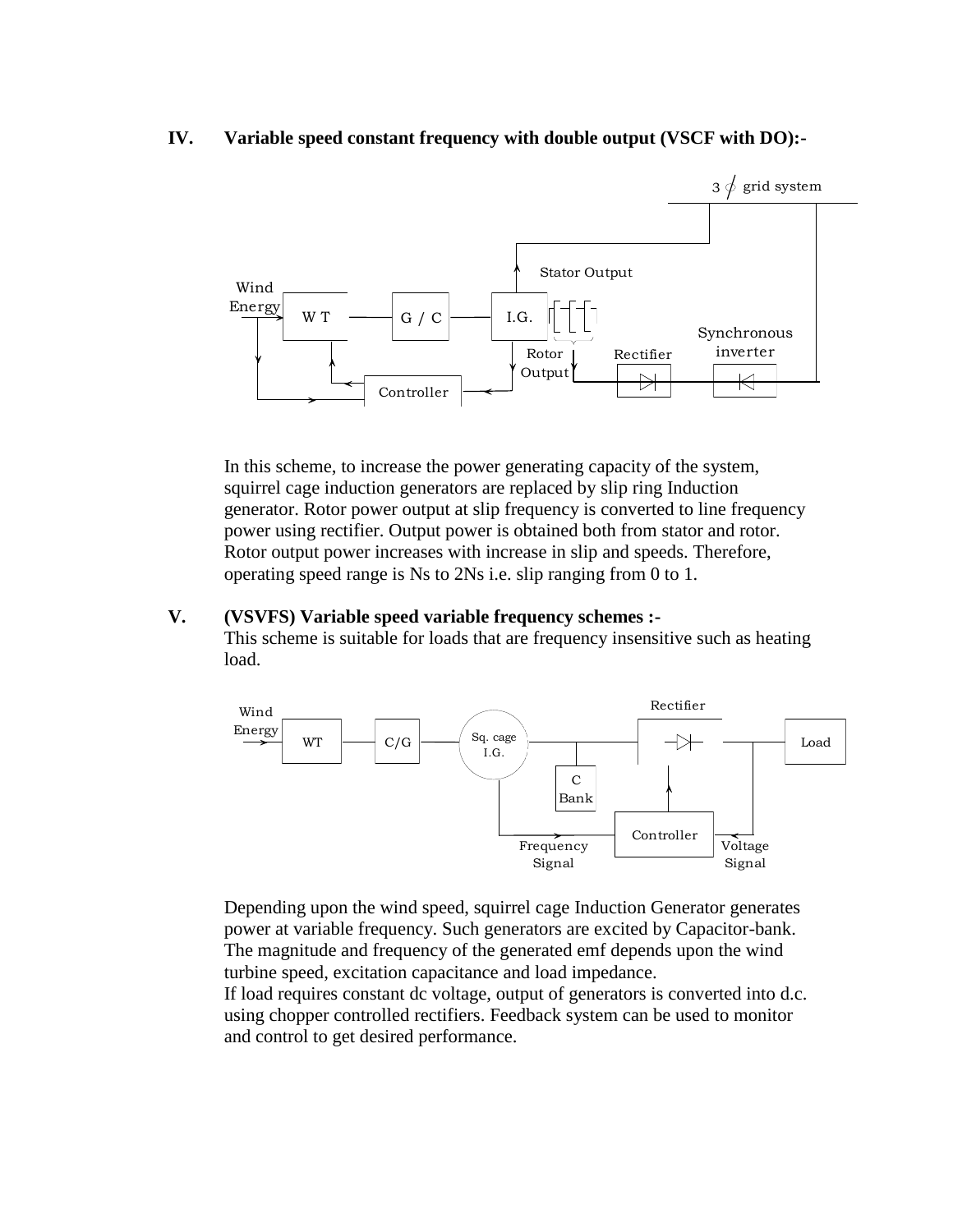#### **IV. Variable speed constant frequency with double output (VSCF with DO):-**



In this scheme, to increase the power generating capacity of the system, squirrel cage induction generators are replaced by slip ring Induction generator. Rotor power output at slip frequency is converted to line frequency power using rectifier. Output power is obtained both from stator and rotor. Rotor output power increases with increase in slip and speeds. Therefore, operating speed range is Ns to 2Ns i.e. slip ranging from 0 to 1.

#### **V. (VSVFS) Variable speed variable frequency schemes :-**

This scheme is suitable for loads that are frequency insensitive such as heating load.



Depending upon the wind speed, squirrel cage Induction Generator generates power at variable frequency. Such generators are excited by Capacitor-bank. The magnitude and frequency of the generated emf depends upon the wind turbine speed, excitation capacitance and load impedance.

If load requires constant dc voltage, output of generators is converted into d.c. using chopper controlled rectifiers. Feedback system can be used to monitor and control to get desired performance.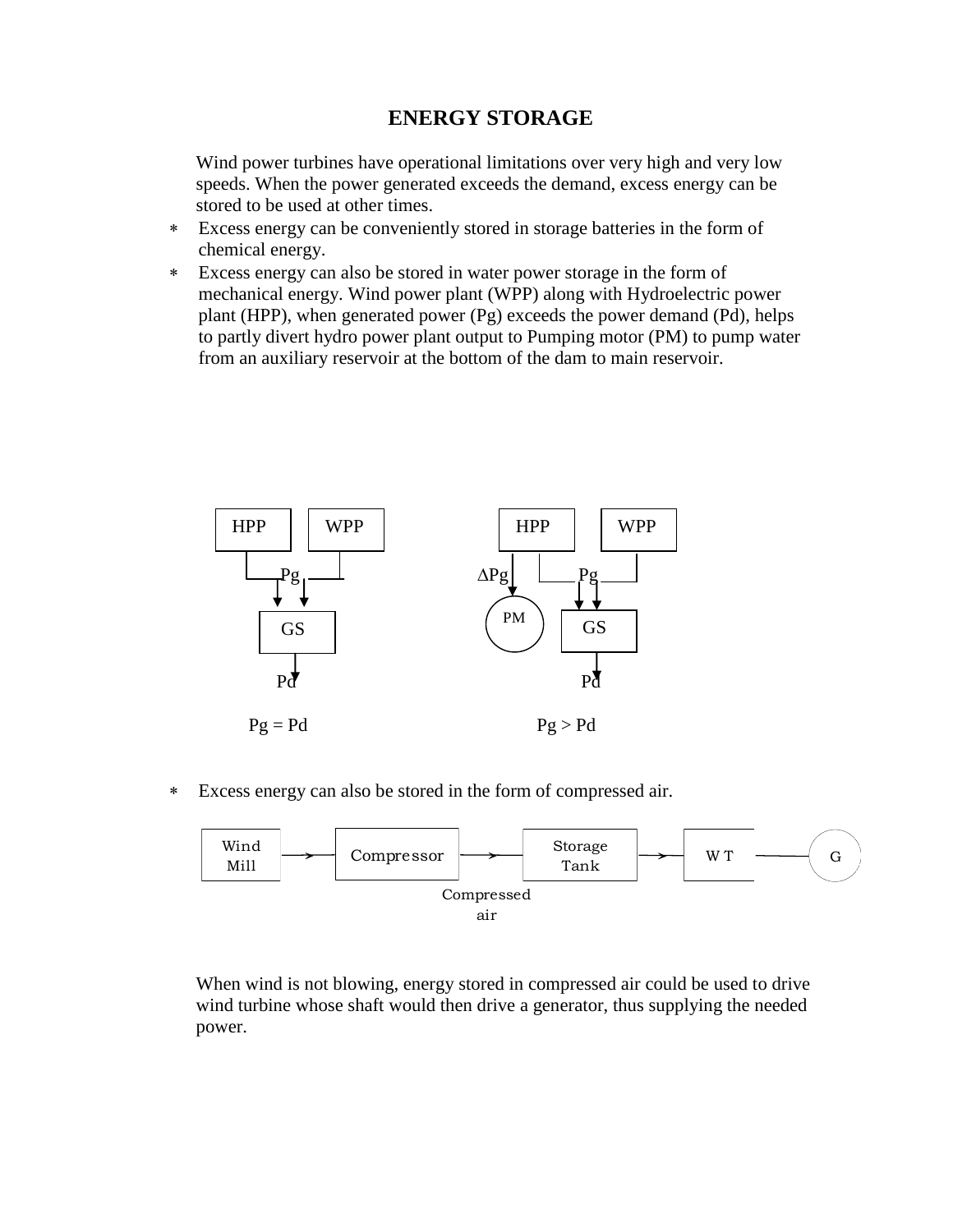## **ENERGY STORAGE**

Wind power turbines have operational limitations over very high and very low speeds. When the power generated exceeds the demand, excess energy can be stored to be used at other times.

- Excess energy can be conveniently stored in storage batteries in the form of chemical energy.
- Excess energy can also be stored in water power storage in the form of mechanical energy. Wind power plant (WPP) along with Hydroelectric power plant (HPP), when generated power (Pg) exceeds the power demand (Pd), helps to partly divert hydro power plant output to Pumping motor (PM) to pump water from an auxiliary reservoir at the bottom of the dam to main reservoir.



Excess energy can also be stored in the form of compressed air.



When wind is not blowing, energy stored in compressed air could be used to drive wind turbine whose shaft would then drive a generator, thus supplying the needed power.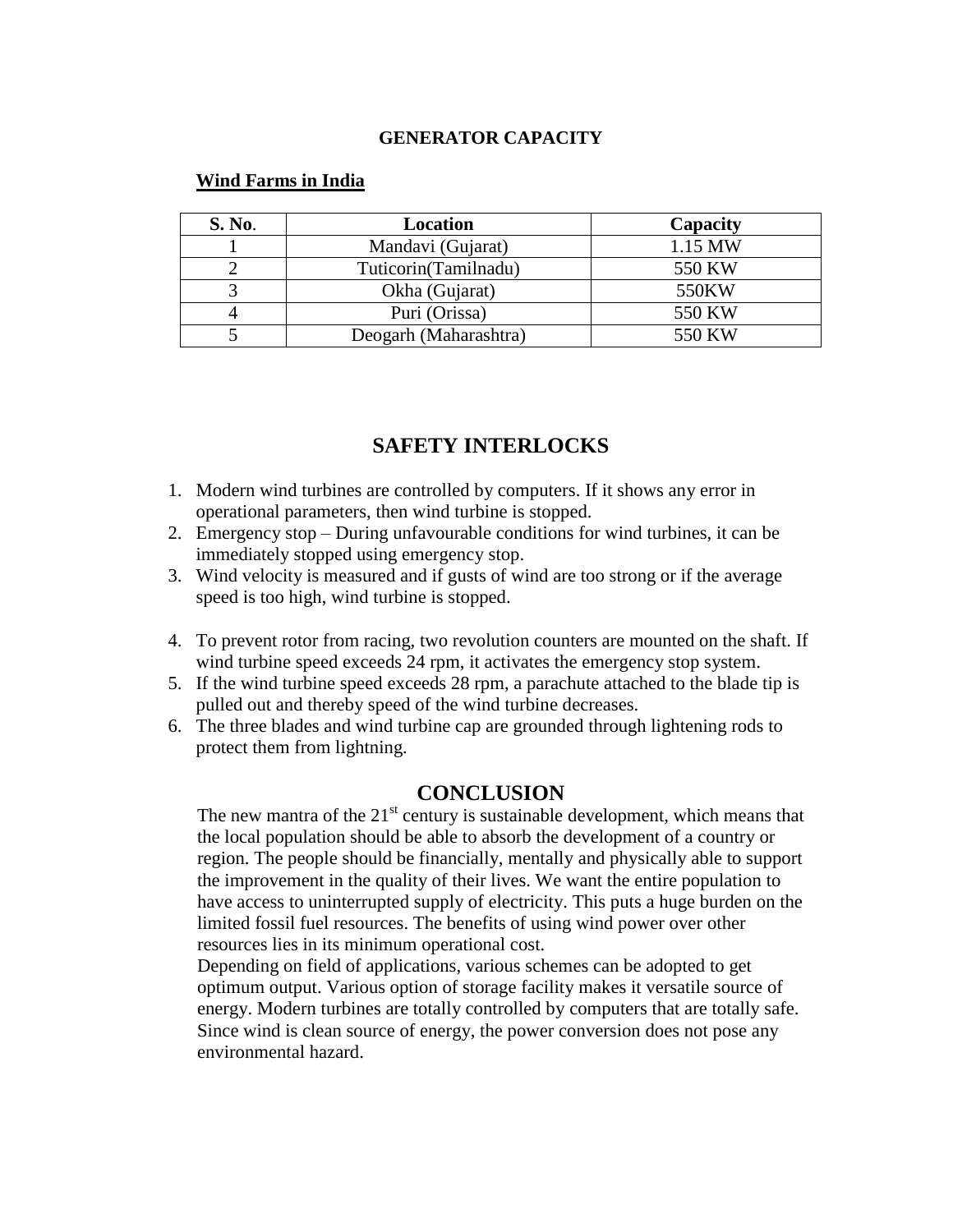#### **GENERATOR CAPACITY**

| <b>S. No.</b> | <b>Location</b>       | Capacity |
|---------------|-----------------------|----------|
|               | Mandavi (Gujarat)     | 1.15 MW  |
|               | Tuticorin(Tamilnadu)  | 550 KW   |
|               | Okha (Gujarat)        | 550KW    |
|               | Puri (Orissa)         | 550 KW   |
|               | Deogarh (Maharashtra) | 550 KW   |

#### **Wind Farms in India**

## **SAFETY INTERLOCKS**

- 1. Modern wind turbines are controlled by computers. If it shows any error in operational parameters, then wind turbine is stopped.
- 2. Emergency stop During unfavourable conditions for wind turbines, it can be immediately stopped using emergency stop.
- 3. Wind velocity is measured and if gusts of wind are too strong or if the average speed is too high, wind turbine is stopped.
- 4. To prevent rotor from racing, two revolution counters are mounted on the shaft. If wind turbine speed exceeds 24 rpm, it activates the emergency stop system.
- 5. If the wind turbine speed exceeds 28 rpm, a parachute attached to the blade tip is pulled out and thereby speed of the wind turbine decreases.
- 6. The three blades and wind turbine cap are grounded through lightening rods to protect them from lightning.

### **CONCLUSION**

The new mantra of the  $21<sup>st</sup>$  century is sustainable development, which means that the local population should be able to absorb the development of a country or region. The people should be financially, mentally and physically able to support the improvement in the quality of their lives. We want the entire population to have access to uninterrupted supply of electricity. This puts a huge burden on the limited fossil fuel resources. The benefits of using wind power over other resources lies in its minimum operational cost.

Depending on field of applications, various schemes can be adopted to get optimum output. Various option of storage facility makes it versatile source of energy. Modern turbines are totally controlled by computers that are totally safe. Since wind is clean source of energy, the power conversion does not pose any environmental hazard.